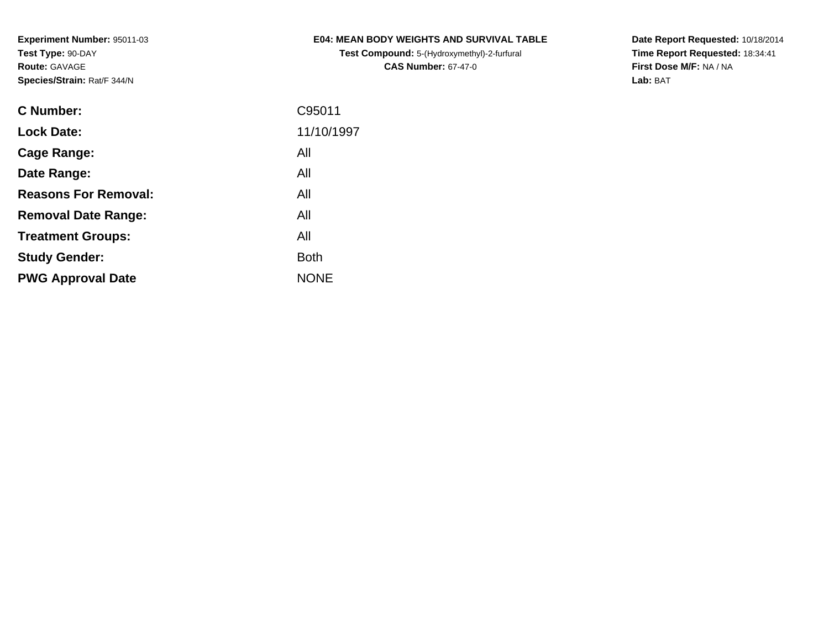**Test Compound:** 5-(Hydroxymethyl)-2-furfural **CAS Number:** 67-47-0

**Date Report Requested:** 10/18/2014 **Time Report Requested:** 18:34:41**First Dose M/F:** NA / NA**Lab:** BAT

| <b>C</b> Number:            | C95011      |
|-----------------------------|-------------|
| <b>Lock Date:</b>           | 11/10/1997  |
| Cage Range:                 | All         |
| Date Range:                 | All         |
| <b>Reasons For Removal:</b> | All         |
| <b>Removal Date Range:</b>  | All         |
| <b>Treatment Groups:</b>    | All         |
| <b>Study Gender:</b>        | <b>Both</b> |
| <b>PWG Approval Date</b>    | <b>NONE</b> |
|                             |             |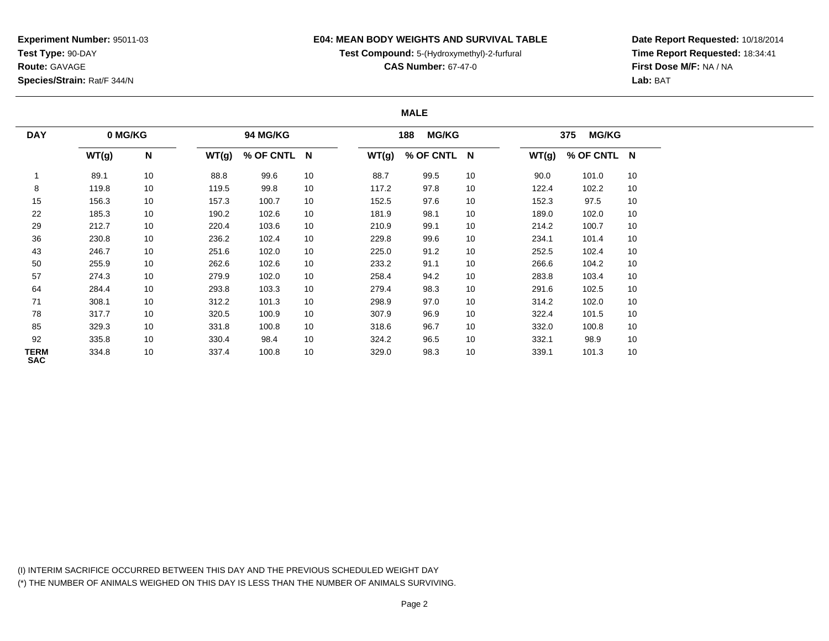## **E04: MEAN BODY WEIGHTS AND SURVIVAL TABLE**

**Test Compound:** 5-(Hydroxymethyl)-2-furfural

**CAS Number:** 67-47-0

**Date Report Requested:** 10/18/2014**Time Report Requested:** 18:34:41**First Dose M/F:** NA / NA**Lab:** BAT

#### **MALE**

| <b>DAY</b>                | 0 MG/KG |    |       | <b>94 MG/KG</b> |                 |       | <b>MG/KG</b><br>188 |    |       | <b>MG/KG</b><br>375 |    |
|---------------------------|---------|----|-------|-----------------|-----------------|-------|---------------------|----|-------|---------------------|----|
|                           | WT(g)   | N  | WT(g) | % OF CNTL N     |                 | WT(g) | % OF CNTL N         |    | WT(g) | % OF CNTL N         |    |
|                           | 89.1    | 10 | 88.8  | 99.6            | 10 <sup>1</sup> | 88.7  | 99.5                | 10 | 90.0  | 101.0               | 10 |
| 8                         | 119.8   | 10 | 119.5 | 99.8            | 10              | 117.2 | 97.8                | 10 | 122.4 | 102.2               | 10 |
| 15                        | 156.3   | 10 | 157.3 | 100.7           | 10 <sup>1</sup> | 152.5 | 97.6                | 10 | 152.3 | 97.5                | 10 |
| 22                        | 185.3   | 10 | 190.2 | 102.6           | 10 <sup>1</sup> | 181.9 | 98.1                | 10 | 189.0 | 102.0               | 10 |
| 29                        | 212.7   | 10 | 220.4 | 103.6           | 10 <sup>1</sup> | 210.9 | 99.1                | 10 | 214.2 | 100.7               | 10 |
| 36                        | 230.8   | 10 | 236.2 | 102.4           | 10 <sup>1</sup> | 229.8 | 99.6                | 10 | 234.1 | 101.4               | 10 |
| 43                        | 246.7   | 10 | 251.6 | 102.0           | 10 <sup>1</sup> | 225.0 | 91.2                | 10 | 252.5 | 102.4               | 10 |
| 50                        | 255.9   | 10 | 262.6 | 102.6           | 10 <sup>1</sup> | 233.2 | 91.1                | 10 | 266.6 | 104.2               | 10 |
| 57                        | 274.3   | 10 | 279.9 | 102.0           | 10              | 258.4 | 94.2                | 10 | 283.8 | 103.4               | 10 |
| 64                        | 284.4   | 10 | 293.8 | 103.3           | 10              | 279.4 | 98.3                | 10 | 291.6 | 102.5               | 10 |
| 71                        | 308.1   | 10 | 312.2 | 101.3           | 10              | 298.9 | 97.0                | 10 | 314.2 | 102.0               | 10 |
| 78                        | 317.7   | 10 | 320.5 | 100.9           | 10              | 307.9 | 96.9                | 10 | 322.4 | 101.5               | 10 |
| 85                        | 329.3   | 10 | 331.8 | 100.8           | 10              | 318.6 | 96.7                | 10 | 332.0 | 100.8               | 10 |
| 92                        | 335.8   | 10 | 330.4 | 98.4            | 10              | 324.2 | 96.5                | 10 | 332.1 | 98.9                | 10 |
| <b>TERM</b><br><b>SAC</b> | 334.8   | 10 | 337.4 | 100.8           | 10              | 329.0 | 98.3                | 10 | 339.1 | 101.3               | 10 |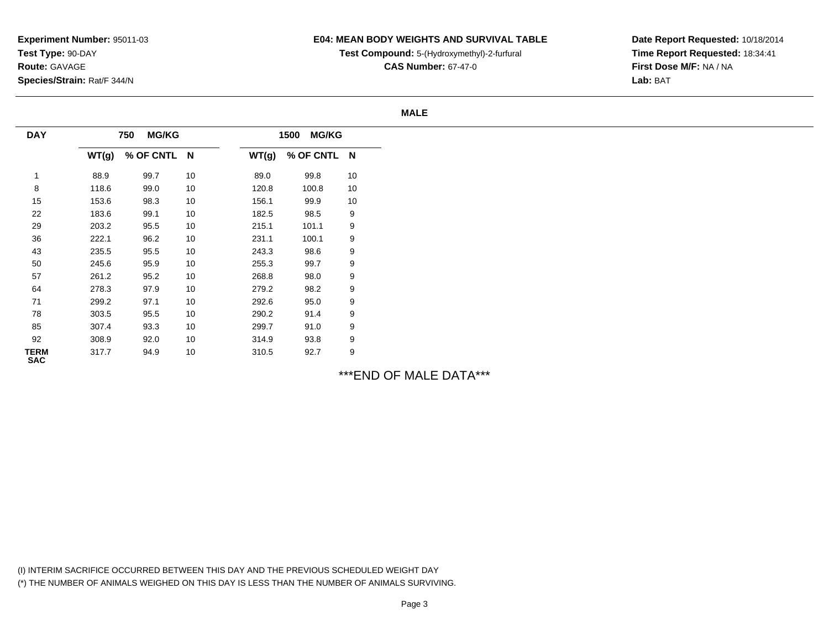## **E04: MEAN BODY WEIGHTS AND SURVIVAL TABLE**

**Test Compound:** 5-(Hydroxymethyl)-2-furfural

**CAS Number:** 67-47-0

**Date Report Requested:** 10/18/2014**Time Report Requested:** 18:34:41**First Dose M/F:** NA / NA**Lab:** BAT

#### **MALE**

| <b>DAY</b>         |       | <b>MG/KG</b><br>750 |    |       | <b>MG/KG</b><br>1500 |    |
|--------------------|-------|---------------------|----|-------|----------------------|----|
|                    | WT(g) | % OF CNTL N         |    | WT(g) | % OF CNTL N          |    |
|                    | 88.9  | 99.7                | 10 | 89.0  | 99.8                 | 10 |
| 8                  | 118.6 | 99.0                | 10 | 120.8 | 100.8                | 10 |
| 15                 | 153.6 | 98.3                | 10 | 156.1 | 99.9                 | 10 |
| 22                 | 183.6 | 99.1                | 10 | 182.5 | 98.5                 | 9  |
| 29                 | 203.2 | 95.5                | 10 | 215.1 | 101.1                | 9  |
| 36                 | 222.1 | 96.2                | 10 | 231.1 | 100.1                | 9  |
| 43                 | 235.5 | 95.5                | 10 | 243.3 | 98.6                 | 9  |
| 50                 | 245.6 | 95.9                | 10 | 255.3 | 99.7                 | 9  |
| 57                 | 261.2 | 95.2                | 10 | 268.8 | 98.0                 | 9  |
| 64                 | 278.3 | 97.9                | 10 | 279.2 | 98.2                 | 9  |
| 71                 | 299.2 | 97.1                | 10 | 292.6 | 95.0                 | 9  |
| 78                 | 303.5 | 95.5                | 10 | 290.2 | 91.4                 | 9  |
| 85                 | 307.4 | 93.3                | 10 | 299.7 | 91.0                 | 9  |
| 92                 | 308.9 | 92.0                | 10 | 314.9 | 93.8                 | 9  |
| TERM<br><b>SAC</b> | 317.7 | 94.9                | 10 | 310.5 | 92.7                 | 9  |

\*\*\*END OF MALE DATA\*\*\*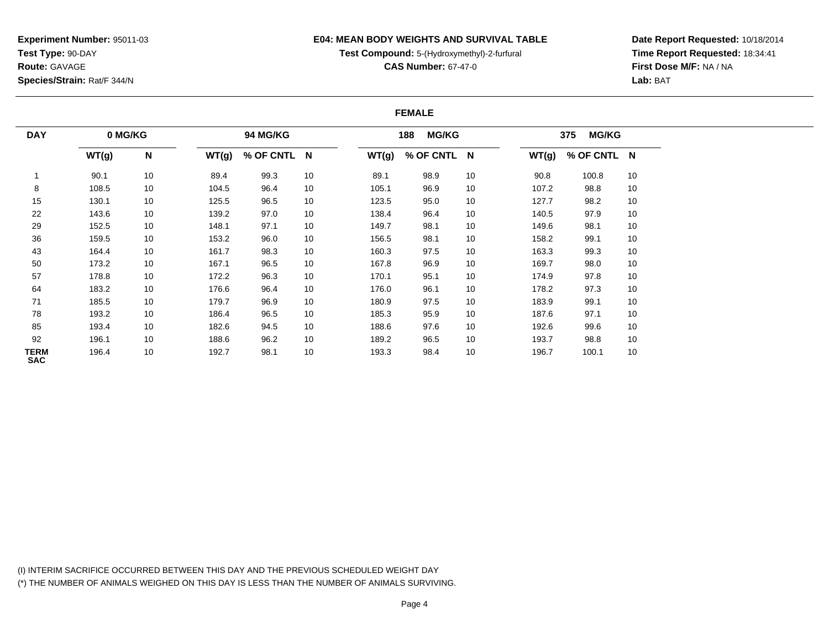### **E04: MEAN BODY WEIGHTS AND SURVIVAL TABLE**

**Test Compound:** 5-(Hydroxymethyl)-2-furfural

**CAS Number:** 67-47-0

**Date Report Requested:** 10/18/2014**Time Report Requested:** 18:34:41**First Dose M/F:** NA / NA**Lab:** BAT

#### **FEMALE**

| <b>DAY</b>         | 0 MG/KG |    |       | 94 MG/KG    |    |       | <b>MG/KG</b><br>188 |    |       | <b>MG/KG</b><br>375 |    |
|--------------------|---------|----|-------|-------------|----|-------|---------------------|----|-------|---------------------|----|
|                    | WT(g)   | N  | WT(g) | % OF CNTL N |    | WT(g) | % OF CNTL N         |    | WT(g) | % OF CNTL N         |    |
|                    | 90.1    | 10 | 89.4  | 99.3        | 10 | 89.1  | 98.9                | 10 | 90.8  | 100.8               | 10 |
| 8                  | 108.5   | 10 | 104.5 | 96.4        | 10 | 105.1 | 96.9                | 10 | 107.2 | 98.8                | 10 |
| 15                 | 130.1   | 10 | 125.5 | 96.5        | 10 | 123.5 | 95.0                | 10 | 127.7 | 98.2                | 10 |
| 22                 | 143.6   | 10 | 139.2 | 97.0        | 10 | 138.4 | 96.4                | 10 | 140.5 | 97.9                | 10 |
| 29                 | 152.5   | 10 | 148.1 | 97.1        | 10 | 149.7 | 98.1                | 10 | 149.6 | 98.1                | 10 |
| 36                 | 159.5   | 10 | 153.2 | 96.0        | 10 | 156.5 | 98.1                | 10 | 158.2 | 99.1                | 10 |
| 43                 | 164.4   | 10 | 161.7 | 98.3        | 10 | 160.3 | 97.5                | 10 | 163.3 | 99.3                | 10 |
| 50                 | 173.2   | 10 | 167.1 | 96.5        | 10 | 167.8 | 96.9                | 10 | 169.7 | 98.0                | 10 |
| 57                 | 178.8   | 10 | 172.2 | 96.3        | 10 | 170.1 | 95.1                | 10 | 174.9 | 97.8                | 10 |
| 64                 | 183.2   | 10 | 176.6 | 96.4        | 10 | 176.0 | 96.1                | 10 | 178.2 | 97.3                | 10 |
| 71                 | 185.5   | 10 | 179.7 | 96.9        | 10 | 180.9 | 97.5                | 10 | 183.9 | 99.1                | 10 |
| 78                 | 193.2   | 10 | 186.4 | 96.5        | 10 | 185.3 | 95.9                | 10 | 187.6 | 97.1                | 10 |
| 85                 | 193.4   | 10 | 182.6 | 94.5        | 10 | 188.6 | 97.6                | 10 | 192.6 | 99.6                | 10 |
| 92                 | 196.1   | 10 | 188.6 | 96.2        | 10 | 189.2 | 96.5                | 10 | 193.7 | 98.8                | 10 |
| TERM<br><b>SAC</b> | 196.4   | 10 | 192.7 | 98.1        | 10 | 193.3 | 98.4                | 10 | 196.7 | 100.1               | 10 |